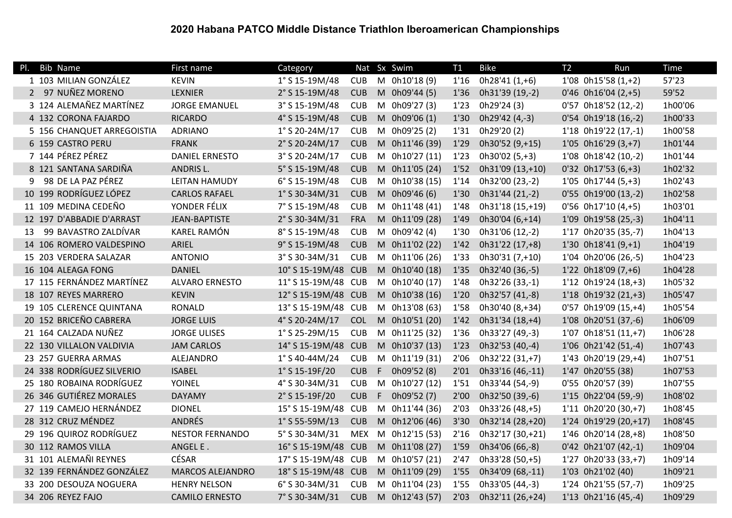## 2020 Habana PATCO Middle Distance Triathlon Iberoamerican Championships

| <b>Bib Name</b><br>PI.     | First name              | Category            |            |    | Nat Sx Swim    | T1   | <b>Bike</b>      | T <sub>2</sub> | Run                   | Time    |
|----------------------------|-------------------------|---------------------|------------|----|----------------|------|------------------|----------------|-----------------------|---------|
| 1 103 MILIAN GONZÁLEZ      | <b>KEVIN</b>            | 1° S 15-19M/48      | <b>CUB</b> |    | M 0h10'18 (9)  | 1'16 | 0h28'41 (1,+6)   |                | $1'08$ 0h15'58 (1,+2) | 57'23   |
| 2 97 NUÑEZ MORENO          | <b>LEXNIER</b>          | 2° S 15-19M/48      | <b>CUB</b> |    | M 0h09'44 (5)  | 1'36 | 0h31'39 (19,-2)  |                | $0'46$ 0h16'04 (2,+5) | 59'52   |
| 3 124 ALEMAÑEZ MARTÍNEZ    | <b>JORGE EMANUEL</b>    | 3° S 15-19M/48      | <b>CUB</b> |    | M 0h09'27 (3)  | 1'23 | 0h29'24 (3)      |                | 0'57 0h18'52 (12,-2)  | 1h00'06 |
| 4 132 CORONA FAJARDO       | <b>RICARDO</b>          | 4° S 15-19M/48      | <b>CUB</b> |    | M 0h09'06 (1)  | 1'30 | 0h29'42 (4,-3)   |                | 0'54 0h19'18 (16,-2)  | 1h00'33 |
| 5 156 CHANQUET ARREGOISTIA | <b>ADRIANO</b>          | $1°$ S 20-24M/17    | <b>CUB</b> |    | M 0h09'25 (2)  | 1'31 | 0h29'20 (2)      |                | 1'18 0h19'22 (17,-1)  | 1h00'58 |
| 6 159 CASTRO PERU          | <b>FRANK</b>            | 2° S 20-24M/17      | <b>CUB</b> |    | M 0h11'46 (39) | 1'29 | 0h30'52 (9,+15)  |                | $1'05$ 0h16'29 (3,+7) | 1h01'44 |
| 7 144 PÉREZ PÉREZ          | <b>DANIEL ERNESTO</b>   | 3° S 20-24M/17      | <b>CUB</b> |    | M 0h10'27 (11) | 1'23 | 0h30'02 (5,+3)   |                | 1'08 0h18'42 (10,-2)  | 1h01'44 |
| 8 121 SANTANA SARDIÑA      | <b>ANDRIS L.</b>        | 5° S 15-19M/48      | <b>CUB</b> |    | M 0h11'05 (24) | 1'52 | 0h31'09 (13,+10) |                | $0'32$ 0h17'53 (6,+3) | 1h02'32 |
| 98 DE LA PAZ PÉREZ<br>9    | LEITAN HAMUDY           | 6° S 15-19M/48      | <b>CUB</b> |    | M 0h10'38 (15) | 1'14 | 0h32'00 (23,-2)  |                | $1'05$ 0h17'44 (5,+3) | 1h02'43 |
| 10 199 RODRÍGUEZ LÓPEZ     | <b>CARLOS RAFAEL</b>    | $1°$ S 30-34M/31    | <b>CUB</b> |    | M 0h09'46 (6)  | 1'30 | 0h31'44 (21,-2)  |                | 0'55 0h19'00 (13,-2)  | 1h02'58 |
| 11 109 MEDINA CEDEÑO       | YONDER FÉLIX            | 7° S 15-19M/48      | <b>CUB</b> |    | M 0h11'48 (41) | 1'48 | 0h31'18 (15,+19) |                | $0'56$ 0h17'10 (4,+5) | 1h03'01 |
| 12 197 D'ABBADIE D'ARRAST  | <b>JEAN-BAPTISTE</b>    | 2° S 30-34M/31      | <b>FRA</b> |    | M 0h11'09 (28) | 1'49 | 0h30'04 (6,+14)  |                | 1'09 0h19'58 (25,-3)  | 1h04'11 |
| 99 BAVASTRO ZALDÍVAR<br>13 | KAREL RAMÓN             | 8° S 15-19M/48      | <b>CUB</b> |    | M 0h09'42 (4)  | 1'30 | 0h31'06 (12,-2)  |                | 1'17 0h20'35 (35,-7)  | 1h04'13 |
| 14 106 ROMERO VALDESPINO   | <b>ARIEL</b>            | 9° S 15-19M/48      | <b>CUB</b> |    | M 0h11'02 (22) | 1'42 | 0h31'22 (17,+8)  |                | $1'30$ 0h18'41 (9,+1) | 1h04'19 |
| 15 203 VERDERA SALAZAR     | <b>ANTONIO</b>          | 3° S 30-34M/31      | <b>CUB</b> |    | M 0h11'06 (26) | 1'33 | 0h30'31 (7,+10)  |                | 1'04 0h20'06 (26,-5)  | 1h04'23 |
| 16 104 ALEAGA FONG         | <b>DANIEL</b>           | 10° S 15-19M/48 CUB |            |    | M 0h10'40 (18) | 1'35 | 0h32'40 (36,-5)  |                | $1'22$ 0h18'09 (7,+6) | 1h04'28 |
| 17 115 FERNÁNDEZ MARTÍNEZ  | <b>ALVARO ERNESTO</b>   | 11° S 15-19M/48 CUB |            |    | M 0h10'40 (17) | 1'48 | 0h32'26 (33,-1)  |                | 1'12 0h19'24 (18,+3)  | 1h05'32 |
| 18 107 REYES MARRERO       | <b>KEVIN</b>            | 12° S 15-19M/48 CUB |            |    | M 0h10'38 (16) | 1'20 | 0h32'57 (41,-8)  |                | 1'18 0h19'32 (21,+3)  | 1h05'47 |
| 19 105 CLERENCE QUINTANA   | <b>RONALD</b>           | 13° S 15-19M/48 CUB |            |    | M 0h13'08 (63) | 1'58 | 0h30'40 (8,+34)  |                | 0'57 0h19'09 (15,+4)  | 1h05'54 |
| 20 152 BRICEÑO CABRERA     | <b>JORGE LUIS</b>       | 4° S 20-24M/17      | <b>COL</b> |    | M 0h10'51 (20) | 1'42 | 0h31'34 (18,+4)  |                | 1'08 0h20'51 (37,-6)  | 1h06'09 |
| 21 164 CALZADA NUÑEZ       | <b>JORGE ULISES</b>     | $1°$ S 25-29M/15    | <b>CUB</b> |    | M 0h11'25 (32) | 1'36 | 0h33'27 (49,-3)  |                | 1'07 0h18'51 (11,+7)  | 1h06'28 |
| 22 130 VILLALON VALDIVIA   | <b>JAM CARLOS</b>       | 14° S 15-19M/48 CUB |            |    | M 0h10'37 (13) | 1'23 | 0h32'53 (40,-4)  |                | 1'06 0h21'42 (51,-4)  | 1h07'43 |
| 23 257 GUERRA ARMAS        | ALEJANDRO               | $1°$ S 40-44M/24    | <b>CUB</b> |    | M 0h11'19 (31) | 2'06 | 0h32'22 (31,+7)  |                | 1'43 0h20'19 (29,+4)  | 1h07'51 |
| 24 338 RODRÍGUEZ SILVERIO  | <b>ISABEL</b>           | 1° S 15-19F/20      | <b>CUB</b> | F  | 0h09'52 (8)    | 2'01 | 0h33'16 (46,-11) |                | 1'47 0h20'55 (38)     | 1h07'53 |
| 25 180 ROBAINA RODRÍGUEZ   | YOINEL                  | 4° S 30-34M/31      | <b>CUB</b> | M  | 0h10'27 (12)   | 1'51 | 0h33'44 (54,-9)  |                | 0'55 0h20'57 (39)     | 1h07'55 |
| 26 346 GUTIÉREZ MORALES    | <b>DAYAMY</b>           | 2° S 15-19F/20      | <b>CUB</b> | F. | 0h09'52 (7)    | 2'00 | 0h32'50 (39,-6)  |                | 1'15 0h22'04 (59,-9)  | 1h08'02 |
| 27 119 CAMEJO HERNÁNDEZ    | <b>DIONEL</b>           | 15° S 15-19M/48     | <b>CUB</b> |    | M 0h11'44 (36) | 2'03 | 0h33'26 (48,+5)  |                | 1'11 0h20'20 (30,+7)  | 1h08'45 |
| 28 312 CRUZ MÉNDEZ         | ANDRÉS                  | $1°$ S 55-59M/13    | <b>CUB</b> |    | M 0h12'06 (46) | 3'30 | 0h32'14 (28,+20) |                | 1'24 0h19'29 (20,+17) | 1h08'45 |
| 29 196 QUIROZ RODRÍGUEZ    | <b>NESTOR FERNANDO</b>  | 5° S 30-34M/31      | <b>MEX</b> |    | M 0h12'15 (53) | 2'16 | 0h32'17 (30,+21) |                | 1'46 0h20'14 (28,+8)  | 1h08'50 |
| 30 112 RAMOS VILLA         | ANGEL E.                | 16° S 15-19M/48 CUB |            |    | M 0h11'08 (27) | 1'59 | 0h34'06 (66,-8)  |                | 0'42 0h21'07 (42,-1)  | 1h09'04 |
| 31 101 ALEMAÑI REYNES      | <b>CÉSAR</b>            | 17° S 15-19M/48 CUB |            |    | M 0h10'57 (21) | 2'47 | 0h33'28 (50,+5)  |                | 1'27 0h20'33 (33,+7)  | 1h09'14 |
| 32 139 FERNÁNDEZ GONZÁLEZ  | <b>MARCOS ALEJANDRO</b> | 18° S 15-19M/48 CUB |            |    | M 0h11'09 (29) | 1'55 | 0h34'09 (68,-11) |                | 1'03 0h21'02 (40)     | 1h09'21 |
| 33 200 DESOUZA NOGUERA     | <b>HENRY NELSON</b>     | 6° S 30-34M/31      | <b>CUB</b> |    | M 0h11'04 (23) | 1'55 | 0h33'05 (44,-3)  |                | 1'24 0h21'55 (57,-7)  | 1h09'25 |
| 34 206 REYEZ FAJO          | <b>CAMILO ERNESTO</b>   | 7° S 30-34M/31      | <b>CUB</b> |    | M 0h12'43 (57) | 2'03 | 0h32'11 (26,+24) |                | 1'13 0h21'16 (45,-4)  | 1h09'29 |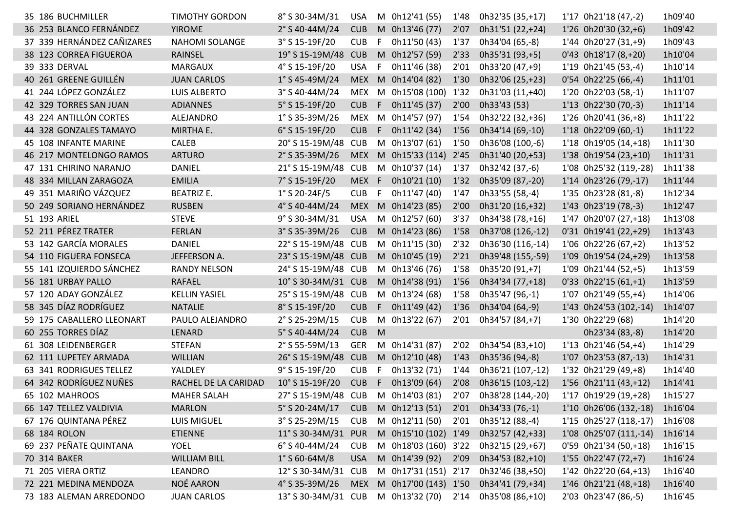| 35 186 BUCHMILLER          | <b>TIMOTHY GORDON</b> | 8° S 30-34M/31                     | <b>USA</b> |    | M 0h12'41 (55)           | 1'48 | 0h32'35 (35,+17)  | 1'17 0h21'18 (47,-2)    | 1h09'40 |
|----------------------------|-----------------------|------------------------------------|------------|----|--------------------------|------|-------------------|-------------------------|---------|
| 36 253 BLANCO FERNÁNDEZ    | <b>YIROME</b>         | 2° S 40-44M/24                     | <b>CUB</b> |    | M 0h13'46 (77)           | 2'07 | 0h31'51 (22,+24)  | 1'26 0h20'30 (32,+6)    | 1h09'42 |
| 37 339 HERNÁNDEZ CAÑIZARES | <b>NAHOMI SOLANGE</b> | 3° S 15-19F/20                     | <b>CUB</b> | F  | 0h11'50 (43)             | 1'37 | 0h34'04 (65,-8)   | 1'44 0h20'27 (31,+9)    | 1h09'43 |
| 38 123 CORREA FIGUEROA     | RAINSEL               | 19° S 15-19M/48                    | <b>CUB</b> |    | M 0h12'57 (59)           | 2'33 | 0h35'31 (93,+5)   | $0'43$ 0h18'17 (8,+20)  | 1h10'04 |
| 39 333 DERVAL              | <b>MARGAUX</b>        | 4° S 15-19F/20                     | <b>USA</b> | F  | 0h11'46 (38)             | 2'01 | 0h33'20 (47,+9)   | 1'19 0h21'45 (53,-4)    | 1h10'14 |
| 40 261 GREENE GUILLÉN      | <b>JUAN CARLOS</b>    | $1°$ S 45-49M/24                   | <b>MEX</b> |    | M 0h14'04 (82)           | 1'30 | 0h32'06 (25,+23)  | 0'54 0h22'25 (66,-4)    | 1h11'01 |
| 41 244 LÓPEZ GONZÁLEZ      | LUIS ALBERTO          | 3° S 40-44M/24                     | MEX        |    | M 0h15'08 (100) 1'32     |      | 0h31'03 (11,+40)  | 1'20 0h22'03 (58,-1)    | 1h11'07 |
| 42 329 TORRES SAN JUAN     | <b>ADIANNES</b>       | 5° S 15-19F/20                     | <b>CUB</b> | F. | 0h11'45 (37)             | 2'00 | 0h33'43 (53)      | 1'13 0h22'30 (70,-3)    | 1h11'14 |
| 43 224 ANTILLÓN CORTES     | ALEJANDRO             | $1^{\circ}$ S 35-39M/26            |            |    | MEX M 0h14'57 (97)       | 1'54 | 0h32'22 (32,+36)  | 1'26 0h20'41 (36,+8)    | 1h11'22 |
| 44 328 GONZALES TAMAYO     | MIRTHA E.             | 6° S 15-19F/20                     | <b>CUB</b> |    | $F$ 0h11'42 (34)         | 1'56 | 0h34'14 (69,-10)  | 1'18 0h22'09 (60,-1)    | 1h11'22 |
| 45 108 INFANTE MARINE      | CALEB                 | 20° S 15-19M/48                    | <b>CUB</b> |    | M 0h13'07 (61)           | 1'50 | 0h36'08 (100,-6)  | 1'18 0h19'05 (14,+18)   | 1h11'30 |
| 46 217 MONTELONGO RAMOS    | <b>ARTURO</b>         | 2° S 35-39M/26                     |            |    | MEX M 0h15'33 (114)      | 2'45 | 0h31'40 (20,+53)  | 1'38 0h19'54 (23,+10)   | 1h11'31 |
| 47 131 CHIRINO NARANJO     | DANIEL                | 21° S 15-19M/48                    | <b>CUB</b> |    | M 0h10'37 (14)           | 1'37 | 0h32'42 (37,-6)   | 1'08 0h25'32 (119,-28)  | 1h11'38 |
| 48 334 MILLAN ZARAGOZA     | <b>EMILIA</b>         | 7° S 15-19F/20                     | MEX F      |    | 0h10'21 (10)             | 1'32 | 0h35'09 (87,-20)  | 1'14 0h23'26 (79,-17)   | 1h11'44 |
| 49 351 MARIÑO VÁZQUEZ      | <b>BEATRIZ E.</b>     | $1°$ S 20-24F/5                    | <b>CUB</b> | -F | 0h11'47 (40)             | 1'47 | 0h33'55 (58,-4)   | 1'35 0h23'28 (81,-8)    | 1h12'34 |
| 50 249 SORIANO HERNÁNDEZ   | <b>RUSBEN</b>         | 4° S 40-44M/24                     |            |    | MEX M 0h14'23 (85)       | 2'00 | 0h31'20 (16,+32)  | 1'43 0h23'19 (78,-3)    | 1h12'47 |
| 51 193 ARIEL               | <b>STEVE</b>          | 9° S 30-34M/31                     | <b>USA</b> |    | M 0h12'57 (60)           | 3'37 | 0h34'38 (78,+16)  | 1'47 0h20'07 (27,+18)   | 1h13'08 |
| 52 211 PÉREZ TRATER        | <b>FERLAN</b>         | 3° S 35-39M/26                     | <b>CUB</b> |    | M 0h14'23 (86)           | 1'58 | 0h37'08 (126,-12) | 0'31 0h19'41 (22,+29)   | 1h13'43 |
| 53 142 GARCÍA MORALES      | <b>DANIEL</b>         | 22° S 15-19M/48 CUB                |            |    | M 0h11'15 (30)           | 2'32 | 0h36'30 (116,-14) | 1'06 0h22'26 (67,+2)    | 1h13'52 |
| 54 110 FIGUERA FONSECA     | JEFFERSON A.          | 23° S 15-19M/48 CUB                |            |    | M 0h10'45 (19)           | 2'21 | 0h39'48 (155,-59) | 1'09 0h19'54 (24,+29)   | 1h13'58 |
| 55 141 IZQUIERDO SÁNCHEZ   | <b>RANDY NELSON</b>   | 24° S 15-19M/48 CUB                |            |    | M 0h13'46 (76)           | 1'58 | 0h35'20 (91,+7)   | 1'09 0h21'44 (52,+5)    | 1h13'59 |
| 56 181 URBAY PALLO         | RAFAEL                | 10° S 30-34M/31 CUB                |            |    | M 0h14'38 (91)           | 1'56 | 0h34'34 (77,+18)  | $0'33$ $0h22'15(61,+1)$ | 1h13'59 |
| 57 120 ADAY GONZÁLEZ       | <b>KELLIN YASIEL</b>  | 25° S 15-19M/48 CUB                |            |    | M 0h13'24 (68)           | 1'58 | 0h35'47 (96,-1)   | 1'07 0h21'49 (55,+4)    | 1h14'06 |
| 58 345 DÍAZ RODRÍGUEZ      | <b>NATALIE</b>        | 8° S 15-19F/20                     | <b>CUB</b> |    | $F$ 0h11'49 (42)         | 1'36 | 0h34'04 (64,-9)   | 1'43 0h24'53 (102,-14)  | 1h14'07 |
| 59 175 CABALLERO LLEONART  | PAULO ALEJANDRO       | 2° S 25-29M/15                     | <b>CUB</b> |    | M 0h13'22 (67)           | 2'01 | 0h34'57 (84,+7)   | 1'30 0h22'29 (68)       | 1h14'20 |
| 60 255 TORRES DÍAZ         | LENARD                | 5° S 40-44M/24                     | <b>CUB</b> | M  |                          |      |                   | 0h23'34 (83,-8)         | 1h14'20 |
| 61 308 LEIDENBERGER        | <b>STEFAN</b>         | 2° S 55-59M/13                     | <b>GER</b> |    | M 0h14'31 (87)           | 2'02 | 0h34'54 (83,+10)  | 1'13 0h21'46 (54,+4)    | 1h14'29 |
| 62 111 LUPETEY ARMADA      | <b>WILLIAN</b>        | 26° S 15-19M/48                    | <b>CUB</b> |    | M 0h12'10 (48)           | 1'43 | 0h35'36 (94,-8)   | 1'07 0h23'53 (87,-13)   | 1h14'31 |
| 63 341 RODRIGUES TELLEZ    | YALDLEY               | 9° S 15-19F/20                     | <b>CUB</b> | F  | 0h13'32 (71)             | 1'44 | 0h36'21 (107,-12) | 1'32 0h21'29 (49,+8)    | 1h14'40 |
| 64 342 RODRÍGUEZ NUÑES     | RACHEL DE LA CARIDAD  | 10° S 15-19F/20                    | <b>CUB</b> | F. | 0h13'09 (64)             | 2'08 | 0h36'15 (103,-12) | 1'56 0h21'11 (43,+12)   | 1h14'41 |
| 65 102 MAHROOS             | <b>MAHER SALAH</b>    | 27° S 15-19M/48 CUB                |            |    | M 0h14'03 (81)           | 2'07 | 0h38'28 (144,-20) | 1'17 0h19'29 (19,+28)   | 1h15'27 |
| 66 147 TELLEZ VALDIVIA     | <b>MARLON</b>         | 5° S 20-24M/17                     | <b>CUB</b> |    | M 0h12'13 (51)           | 2'01 | 0h34'33 (76,-1)   | 1'10 0h26'06 (132,-18)  | 1h16'04 |
| 67 176 QUINTANA PÉREZ      | LUIS MIGUEL           | $3°$ S 25-29M/15                   | <b>CUB</b> |    | M 0h12'11 (50)           | 2'01 | 0h35'12 (88,-4)   | 1'15 0h25'27 (118,-17)  | 1h16'08 |
| 68 184 ROLON               | <b>ETIENNE</b>        | $11^{\circ}$ S 30-34M/31           | <b>PUR</b> |    | M 0h15'10 (102) 1'49     |      | 0h32'57 (42,+33)  | 1'08 0h25'07 (111,-14)  | 1h16'14 |
| 69 237 PEÑATE QUINTANA     | <b>YOEL</b>           | 6° S 40-44M/24                     | <b>CUB</b> |    | M 0h18'03 (160) 3'22     |      | 0h32'15 (29,+67)  | 0'59 0h21'34 (50,+18)   | 1h16'15 |
| 70 314 BAKER               | <b>WILLIAM BILL</b>   | $1^{\circ}$ S 60-64M/8             | <b>USA</b> |    | M 0h14'39 (92)           | 2'09 | 0h34'53 (82,+10)  | 1'55 0h22'47 (72,+7)    | 1h16'24 |
| 71 205 VIERA ORTIZ         | LEANDRO               | 12° S 30-34M/31                    | <b>CUB</b> |    | M 0h17'31 (151) 2'17     |      | 0h32'46 (38,+50)  | 1'42 0h22'20 (64,+13)   | 1h16'40 |
| 72 221 MEDINA MENDOZA      | NOÉ AARON             | 4° S 35-39M/26                     |            |    | MEX M 0h17'00 (143) 1'50 |      | 0h34'41 (79,+34)  | 1'46 0h21'21 (48,+18)   | 1h16'40 |
| 73 183 ALEMAN ARREDONDO    | <b>JUAN CARLOS</b>    | 13° S 30-34M/31 CUB M 0h13'32 (70) |            |    |                          | 2'14 | 0h35'08 (86,+10)  | 2'03 0h23'47 (86,-5)    | 1h16'45 |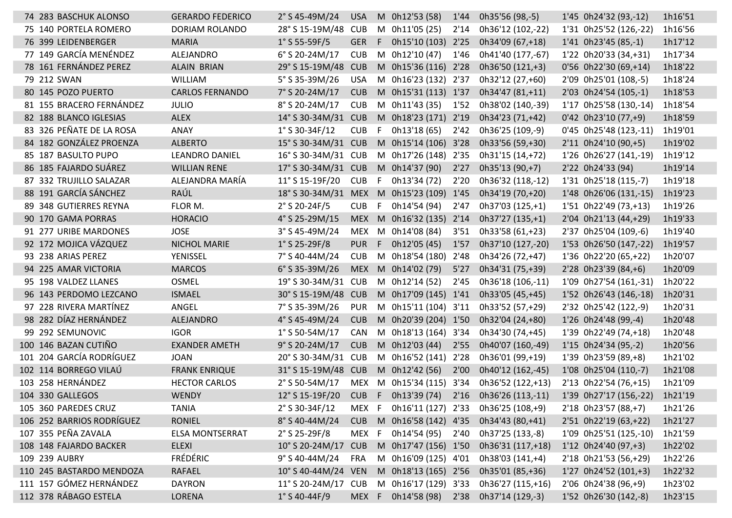| 74 283 BASCHUK ALONSO     | <b>GERARDO FEDERICO</b> | $2°$ S 45-49M/24                    | <b>USA</b> |      | M 0h12'53 (58)           | 1'44 | 0h35'56 (98,-5)                     | 1'45 0h24'32 (93,-12)  | 1h16'51 |
|---------------------------|-------------------------|-------------------------------------|------------|------|--------------------------|------|-------------------------------------|------------------------|---------|
| 75 140 PORTELA ROMERO     | DORIAM ROLANDO          | 28° S 15-19M/48                     | <b>CUB</b> |      | M 0h11'05 (25)           | 2'14 | 0h36'12 (102,-22)                   | 1'31 0h25'52 (126,-22) | 1h16'56 |
| 76 399 LEIDENBERGER       | <b>MARIA</b>            | $1°$ S 55-59F/5                     | <b>GER</b> | F.   | 0h15'10 (103) 2'25       |      | 0h34'09 (67,+18)                    | 1'41 0h23'45 (85,-1)   | 1h17'12 |
| 77 149 GARCÍA MENÉNDEZ    | ALEJANDRO               | 6° S 20-24M/17                      | <b>CUB</b> |      | M 0h12'10 (47)           | 1'46 | 0h41'40 (177,-67)                   | 1'22 0h20'33 (34,+31)  | 1h17'34 |
| 78 161 FERNÁNDEZ PEREZ    | ALAIN BRIAN             | 29° S 15-19M/48                     | <b>CUB</b> |      | M 0h15'36 (116) 2'28     |      | 0h36'50 (121,+3)                    | 0'56 0h22'30 (69,+14)  | 1h18'22 |
| 79 212 SWAN               | <b>WILLIAM</b>          | 5° S 35-39M/26                      | <b>USA</b> |      | M 0h16'23 (132) 2'37     |      | 0h32'12 (27,+60)                    | 2'09 0h25'01 (108,-5)  | 1h18'24 |
| 80 145 POZO PUERTO        | <b>CARLOS FERNANDO</b>  | 7° S 20-24M/17                      | <b>CUB</b> |      | M 0h15'31 (113) 1'37     |      | 0h34'47 (81,+11)                    | 2'03 0h24'54 (105,-1)  | 1h18'53 |
| 81 155 BRACERO FERNÁNDEZ  | <b>JULIO</b>            | 8° S 20-24M/17                      | <b>CUB</b> |      | M 0h11'43 (35)           | 1'52 | 0h38'02 (140,-39)                   | 1'17 0h25'58 (130,-14) | 1h18'54 |
| 82 188 BLANCO IGLESIAS    | <b>ALEX</b>             | 14° S 30-34M/31 CUB                 |            |      | M 0h18'23 (171) 2'19     |      | 0h34'23 (71,+42)                    | $0'42$ 0h23'10 (77,+9) | 1h18'59 |
| 83 326 PEÑATE DE LA ROSA  | ANAY                    | $1°$ S 30-34F/12                    | <b>CUB</b> | -F   | 0h13'18 (65)             | 2'42 | 0h36'25 (109,-9)                    | 0'45 0h25'48 (123,-11) | 1h19'01 |
| 84 182 GONZÁLEZ PROENZA   | <b>ALBERTO</b>          | 15° S 30-34M/31 CUB                 |            |      | M 0h15'14 (106) 3'28     |      | 0h33'56 (59,+30)                    | 2'11 0h24'10 (90,+5)   | 1h19'02 |
| 85 187 BASULTO PUPO       | LEANDRO DANIEL          | 16° S 30-34M/31 CUB                 |            |      | M 0h17'26 (148)          | 2'35 | 0h31'15 (14,+72)                    | 1'26 0h26'27 (141,-19) | 1h19'12 |
| 86 185 FAJARDO SUÁREZ     | <b>WILLIAN RENE</b>     | 17° S 30-34M/31 CUB                 |            |      | M 0h14'37 (90)           | 2'27 | 0h35'13 (90,+7)                     | 2'22 0h24'33 (94)      | 1h19'14 |
| 87 332 TRUJILLO SALAZAR   | ALEJANDRA MARÍA         | 11° S 15-19F/20                     | <b>CUB</b> | -F   | 0h13'34 (72)             | 2'20 | 0h36'32 (118,-12)                   | 1'31 0h25'18 (115,-7)  | 1h19'18 |
| 88 191 GARCÍA SÁNCHEZ     | RAÚL                    | 18° S 30-34M/31 MEX M 0h15'23 (109) |            |      |                          | 1'45 | 0h34'19 (70,+20)                    | 1'48 0h26'06 (131,-15) | 1h19'23 |
| 89 348 GUTIERRES REYNA    | FLOR M.                 | 2° S 20-24F/5                       | <b>CUB</b> |      | 0h14'54 (94)             | 2'47 | 0h37'03 (125,+1)                    | 1'51 0h22'49 (73,+13)  | 1h19'26 |
| 90 170 GAMA PORRAS        | <b>HORACIO</b>          | 4° S 25-29M/15                      | MEX M      |      | 0h16'32 (135)            | 2'14 | 0h37'27 (135,+1)                    | 2'04 0h21'13 (44,+29)  | 1h19'33 |
| 91 277 URIBE MARDONES     | <b>JOSE</b>             | 3° S 45-49M/24                      | MEX        |      | M 0h14'08 (84)           | 3'51 | 0h33'58 (61,+23)                    | 2'37 0h25'04 (109,-6)  | 1h19'40 |
| 92 172 MOJICA VÁZQUEZ     | <b>NICHOL MARIE</b>     | $1°$ S 25-29F/8                     | <b>PUR</b> | -F   | 0h12'05 (45)             | 1'57 | 0h37'10 (127,-20)                   | 1'53 0h26'50 (147,-22) | 1h19'57 |
| 93 238 ARIAS PEREZ        | YENISSEL                | 7° S 40-44M/24                      | CUB        |      | M 0h18'54 (180)          | 2'48 | 0h34'26 (72,+47)                    | 1'36 0h22'20 (65,+22)  | 1h20'07 |
| 94 225 AMAR VICTORIA      | <b>MARCOS</b>           | $6°$ S 35-39M/26                    | <b>MEX</b> |      | M 0h14'02 (79)           | 5'27 | 0h34'31 (75,+39)                    | 2'28 0h23'39 (84,+6)   | 1h20'09 |
| 95 198 VALDEZ LLANES      | <b>OSMEL</b>            | 19° S 30-34M/31 CUB                 |            |      | M 0h12'14 (52)           | 2'45 | 0h36'18 (106,-11)                   | 1'09 0h27'54 (161,-31) | 1h20'22 |
| 96 143 PERDOMO LEZCANO    | <b>ISMAEL</b>           | 30° S 15-19M/48                     | <b>CUB</b> |      | M 0h17'09 (145) 1'41     |      | 0h33'05 (45,+45)                    | 1'52 0h26'43 (146,-18) | 1h20'31 |
| 97 228 RIVERA MARTÍNEZ    | ANGEL                   | 7° S 35-39M/26                      | <b>PUR</b> |      | M 0h15'11 (104) 3'11     |      | 0h33'52 (57, +29)                   | 2'32 0h25'42 (122,-9)  | 1h20'31 |
| 98 282 DÍAZ HERNÁNDEZ     | ALEJANDRO               | 4° S 45-49M/24                      | <b>CUB</b> |      | M 0h20'39 (204) 1'50     |      | 0h32'04 (24,+80)                    | 1'26 0h24'48 (99,-4)   | 1h20'48 |
| 99 292 SEMUNOVIC          | <b>IGOR</b>             | $1°$ S 50-54M/17                    | CAN        |      | M 0h18'13 (164)          | 3'34 | 0h34'30 (74,+45)                    | 1'39 0h22'49 (74,+18)  | 1h20'48 |
| 100 146 BAZAN CUTIÑO      | <b>EXANDER AMETH</b>    | 9° S 20-24M/17                      | <b>CUB</b> |      | M 0h12'03 (44)           | 2'55 | 0h40'07 (160,-49)                   | 1'15 0h24'34 (95,-2)   | 1h20'56 |
| 101 204 GARCÍA RODRÍGUEZ  | <b>JOAN</b>             | 20° S 30-34M/31 CUB                 |            |      | M 0h16'52 (141)          | 2'28 | 0h36'01 (99,+19)                    | 1'39 0h23'59 (89,+8)   | 1h21'02 |
| 102 114 BORREGO VILAÚ     | <b>FRANK ENRIQUE</b>    | 31° S 15-19M/48 CUB                 |            |      | M 0h12'42 (56)           | 2'00 | 0h40'12 (162,-45)                   | 1'08 0h25'04 (110,-7)  | 1h21'08 |
| 103 258 HERNÁNDEZ         | <b>HECTOR CARLOS</b>    | 2° S 50-54M/17                      | <b>MEX</b> |      | M 0h15'34 (115)          | 3'34 | 0h36'52 (122,+13)                   | 2'13 0h22'54 (76,+15)  | 1h21'09 |
| 104 330 GALLEGOS          | <b>WENDY</b>            | 12° S 15-19F/20                     | <b>CUB</b> | $-F$ | 0h13'39 (74)             | 2'16 | 0h36'26 (113,-11)                   | 1'39 0h27'17 (156,-22) | 1h21'19 |
| 105 360 PAREDES CRUZ      | <b>TANIA</b>            | 2° S 30-34F/12                      | MEX F      |      |                          |      | 0h16'11 (127) 2'33 0h36'25 (108,+9) | 2'18 0h23'57 (88,+7)   | 1h21'26 |
| 106 252 BARRIOS RODRÍGUEZ | <b>RONIEL</b>           | 8° S 40-44M/24                      |            |      | CUB M 0h16'58 (142) 4'35 |      | 0h34'43 (80,+41)                    | 2'51 0h22'19 (63,+22)  | 1h21'27 |
| 107 355 PEÑA ZAVALA       | <b>ELSA MONTSERRAT</b>  | $2°$ S 25-29F/8                     |            |      | MEX F 0h14'54 (95)       | 2'40 | 0h37'25 (133,-8)                    | 1'09 0h25'51 (125,-10) | 1h21'59 |
| 108 148 FAJARDO BACKER    | <b>ELEXI</b>            | 10° S 20-24M/17                     |            |      | CUB M 0h17'47 (156) 1'50 |      | 0h36'31 (117,+18)                   | 1'12 0h24'40 (97,+3)   | 1h22'02 |
| 109 239 AUBRY             | <b>FRÉDÉRIC</b>         | 9° S 40-44M/24                      | FRA        |      | M 0h16'09 (125) 4'01     |      | 0h38'03 (141,+4)                    | 2'18 0h21'53 (56,+29)  | 1h22'26 |
| 110 245 BASTARDO MENDOZA  | RAFAEL                  | 10° S 40-44M/24 VEN                 |            |      | M 0h18'13 (165) 2'56     |      | 0h35'01 (85,+36)                    | 1'27 0h24'52 (101,+3)  | 1h22'32 |
| 111 157 GÓMEZ HERNÁNDEZ   | <b>DAYRON</b>           | 11° S 20-24M/17 CUB                 |            |      | M 0h16'17 (129) 3'33     |      | 0h36'27 (115,+16)                   | 2'06 0h24'38 (96,+9)   | 1h23'02 |
| 112 378 RÁBAGO ESTELA     | LORENA                  | $1°$ S 40-44F/9                     | MEX F      |      |                          |      | 0h14'58 (98) 2'38 0h37'14 (129,-3)  | 1'52 0h26'30 (142,-8)  | 1h23'15 |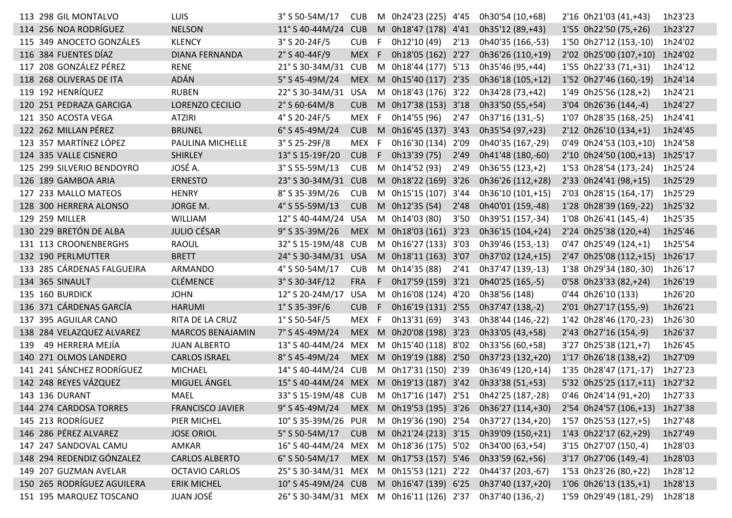|     | 114 256 NOA RODRÍGUEZ      |                         |                                          |            |    |                          |      |                   |                                |         |
|-----|----------------------------|-------------------------|------------------------------------------|------------|----|--------------------------|------|-------------------|--------------------------------|---------|
|     |                            | <b>NELSON</b>           | 11° S 40-44M/24                          | <b>CUB</b> |    | M 0h18'47 (178) 4'41     |      | 0h35'12 (89,+43)  | 1'55 0h22'50 (75,+26)          | 1h23'27 |
|     | 115 349 ANOCETO GONZÁLES   | <b>KLENCY</b>           | 3° S 20-24F/5                            | <b>CUB</b> | F  | 0h12'10 (49)             | 2'13 | 0h40'35 (166,-53) | 1'50 0h27'12 (153,-10)         | 1h24'02 |
|     | 116 384 FUENTES DÍAZ       | <b>DIANA FERNANDA</b>   | $2°$ S 40-44F/9                          | <b>MEX</b> | F. | 0h18'05 (162) 2'27       |      | 0h36'26 (110,+19) | 2'02 0h25'00 (107,+10)         | 1h24'02 |
| 117 | 208 GONZÁLEZ PÉREZ         | <b>RENE</b>             | 21° S 30-34M/31                          | <b>CUB</b> | M  | 0h18'44 (177) 5'13       |      | 0h35'46 (95,+44)  | 1'55 0h22'33 (71,+31)          | 1h24'12 |
|     | 118 268 OLIVERAS DE ITA    | ADÁN                    | 5° S 45-49M/24                           | <b>MEX</b> | M  | 0h15'40 (117) 2'35       |      | 0h36'18 (105,+12) | 1'52 0h27'46 (160,-19)         | 1h24'14 |
|     | 119 192 HENRÍQUEZ          | <b>RUBEN</b>            | 22° S 30-34M/31                          | <b>USA</b> |    | M 0h18'43 (176) 3'22     |      | 0h34'28 (73,+42)  | 1'49 0h25'56 (128,+2)          | 1h24'21 |
|     | 120 251 PEDRAZA GARCIGA    | LORENZO CECILIO         | $2°$ S 60-64M/8                          | <b>CUB</b> | M  | 0h17'38 (153) 3'18       |      | 0h33'50 (55,+54)  | 3'04 0h26'36 (144,-4)          | 1h24'27 |
|     | 121 350 ACOSTA VEGA        | <b>ATZIRI</b>           | 4° S 20-24F/5                            | MEX        | F  | 0h14'55 (96)             | 2'47 | 0h37'16 (131,-5)  | 1'07 0h28'35 (168,-25)         | 1h24'41 |
|     | 122 262 MILLAN PÉREZ       | <b>BRUNEL</b>           | 6° S 45-49M/24                           | <b>CUB</b> | M  | 0h16'45 (137) 3'43       |      | 0h35'54 (97,+23)  | 2'12 0h26'10 (134,+1)          | 1h24'45 |
|     | 123 357 MARTÍNEZ LÓPEZ     | PAULINA MICHELLE        | 3° S 25-29F/8                            | <b>MEX</b> | F  | 0h16'30 (134)            | 2'09 | 0h40'35 (167,-29) | $0'49$ 0h24'53 (103,+10)       | 1h24'58 |
|     | 124 335 VALLE CISNERO      | <b>SHIRLEY</b>          | 13° S 15-19F/20                          | <b>CUB</b> | F. | 0h13'39 (75)             | 2'49 | 0h41'48 (180,-60) | 2'10 0h24'50 (100,+13)         | 1h25'17 |
|     | 125 299 SILVERIO BENDOYRO  | JOSÉ A.                 | $3°$ S 55-59M/13                         | <b>CUB</b> |    | M 0h14'52 (93)           | 2'49 | 0h36'55 (123,+2)  | 1'53 0h28'54 (173,-24)         | 1h25'24 |
|     | 126 189 GAMBOA ARIA        | <b>ERNESTO</b>          | 23° S 30-34M/31 CUB                      |            |    | M 0h18'22 (169) 3'26     |      | 0h36'26 (112,+28) | 2'33 0h24'41 (98,+15)          | 1h25'29 |
|     | 127 233 MALLO MATEOS       | <b>HENRY</b>            | 8° S 35-39M/26                           | <b>CUB</b> |    | M 0h15'15 (107) 3'44     |      | 0h36'10 (101,+15) | 2'03 0h28'15 (164,-17)         | 1h25'29 |
|     | 128 300 HERRERA ALONSO     | JORGE M.                | 4° S 55-59M/13                           | <b>CUB</b> |    | M 0h12'35 (54)           | 2'48 | 0h40'01 (159,-48) | 1'28 0h28'39 (169,-22)         | 1h25'32 |
|     | 129 259 MILLER             | WILLIAM                 | 12° S 40-44M/24 USA                      |            | M  | 0h14'03 (80)             | 3'50 | 0h39'51 (157,-34) | 1'08 0h26'41 (145,-4)          | 1h25'35 |
|     | 130 229 BRETÓN DE ALBA     | <b>JULIO CÉSAR</b>      | 9° S 35-39M/26                           | <b>MEX</b> |    | M 0h18'03 (161) 3'23     |      | 0h36'15 (104,+24) | 2'24 0h25'38 (120,+4)          | 1h25'46 |
|     | 131 113 CROONENBERGHS      | <b>RAOUL</b>            | 32° S 15-19M/48 CUB                      |            |    | M 0h16'27 (133) 3'03     |      | 0h39'46 (153,-13) | 0'47 0h25'49 (124,+1)          | 1h25'54 |
|     | 132 190 PERLMUTTER         | <b>BRETT</b>            | 24° S 30-34M/31 USA                      |            |    | M 0h18'11 (163) 3'07     |      | 0h37'02 (124,+15) | 2'47 0h25'08 (112,+15) 1h26'17 |         |
|     | 133 285 CÁRDENAS FALGUEIRA | ARMANDO                 | 4° S 50-54M/17                           | <b>CUB</b> |    | M 0h14'35 (88)           | 2'41 | 0h37'47 (139,-13) | 1'38 0h29'34 (180,-30)         | 1h26'17 |
|     | 134 365 SINAULT            | <b>CLÉMENCE</b>         | 3° S 30-34F/12                           | <b>FRA</b> | F. | 0h17'59 (159) 3'21       |      | 0h40'25 (165,-5)  | 0'58 0h23'33 (82,+24)          | 1h26'19 |
|     | <b>135 160 BURDICK</b>     | <b>JOHN</b>             | 12° S 20-24M/17                          | <b>USA</b> | M  | 0h16'08 (124) 4'20       |      | 0h38'56 (148)     | 0'44 0h26'10 (133)             | 1h26'20 |
|     | 136 371 CÁRDENAS GARCÍA    | <b>HARUMI</b>           | $1°$ S 35-39F/6                          | <b>CUB</b> | F. | 0h16'19 (131) 2'55       |      | 0h37'47 (138,-2)  | 2'01 0h27'17 (155,-9)          | 1h26'21 |
|     | 137 395 AGUILAR CANO       | RITA DE LA CRUZ         | $1°$ S 50-54F/5                          | MEX        | F. | 0h13'31 (69)             | 3'43 | 0h38'44 (146,-22) | 1'42 0h28'46 (170,-23)         | 1h26'30 |
|     | 138 284 VELAZQUEZ ALVAREZ  | <b>MARCOS BENAJAMIN</b> | 7° S 45-49M/24                           | <b>MEX</b> | M  | 0h20'08 (198) 3'23       |      | 0h33'05 (43,+58)  | 2'43 0h27'16 (154,-9)          | 1h26'37 |
| 139 | 49 HERRERA MEJÍA           | <b>JUAN ALBERTO</b>     | 13° S 40-44M/24                          | MEX        |    | M 0h15'40 (118) 8'02     |      | 0h33'56 (60,+58)  | 3'27 0h25'38 (121,+7)          | 1h26'45 |
|     | 140 271 OLMOS LANDERO      | <b>CARLOS ISRAEL</b>    | 8° S 45-49M/24                           | <b>MEX</b> |    | M 0h19'19 (188) 2'50     |      | 0h37'23 (132,+20) | 1'17 0h26'18 (138,+2)          | 1h27'09 |
|     | 141 241 SÁNCHEZ RODRÍGUEZ  | <b>MICHAEL</b>          | 14° S 40-44M/24 CUB                      |            |    | M 0h17'31 (150) 2'39     |      | 0h36'49 (120,+14) | 1'35 0h28'47 (171,-17)         | 1h27'23 |
|     | 142 248 REYES VÁZQUEZ      | MIGUEL ÁNGEL            | 15° S 40-44M/24 MEX                      |            |    | M 0h19'13 (187) 3'42     |      | 0h33'38 (51,+53)  | 5'32 0h25'25 (117,+11)         | 1h27'32 |
|     | 143 136 DURANT             | <b>MAEL</b>             | 33° S 15-19M/48 CUB                      |            |    | M 0h17'16 (147) 2'51     |      | 0h42'25 (187,-28) | 0'46 0h24'14 (91,+20)          | 1h27'33 |
|     | 144 274 CARDOSA TORRES     | <b>FRANCISCO JAVIER</b> | $9°$ S 45-49M/24                         |            |    | MEX M 0h19'53 (195) 3'26 |      | 0h36'27 (114,+30) | 2'54 0h24'57 (106,+13)         | 1h27'38 |
|     | 145 213 RODRÍGUEZ          | PIER MICHEL             | 10° S 35-39M/26 PUR                      |            |    | M 0h19'36 (190) 2'54     |      | 0h37'27 (134,+20) | 1'57 0h25'53 (127,+5)          | 1h27'48 |
|     | 146 286 PÉREZ ALVAREZ      | <b>JOSE ORIOL</b>       | 5° S 50-54M/17                           | <b>CUB</b> |    | M 0h21'24 (213) 3'15     |      | 0h39'09 (150,+21) | 1'43 0h22'17 (62,+29)          | 1h27'49 |
|     | 147 247 SANDOVAL CAMU      | AMKAR                   | 16° S 40-44M/24 MEX                      |            |    | M 0h18'36 (175) 5'02     |      | 0h34'00 (63,+54)  | 3'15 0h27'07 (150,-4)          | 1h28'03 |
|     | 148 294 REDENDIZ GÓNZALEZ  | <b>CARLOS ALBERTO</b>   | 6° S 50-54M/17                           |            |    | MEX M 0h17'53 (157) 5'46 |      | 0h33'59 (62,+56)  | 3'17 0h27'06 (149,-4)          | 1h28'03 |
|     | 149 207 GUZMAN AVELAR      | <b>OCTAVIO CARLOS</b>   | 25° S 30-34M/31 MEX                      |            |    | M 0h15'53 (121) 2'22     |      | 0h44'37 (203,-67) | 1'53 0h23'26 (80,+22)          | 1h28'12 |
|     | 150 265 RODRÍGUEZ AGUILERA | <b>ERIK MICHEL</b>      | 10° S 45-49M/24 CUB                      |            |    | M 0h16'47 (139) 6'25     |      | 0h37'40 (137,+20) | 1'06 0h26'13 (135,+1)          | 1h28'13 |
|     | 151 195 MARQUEZ TOSCANO    | <b>JUAN JOSÉ</b>        | 26° S 30-34M/31 MEX M 0h16'11 (126) 2'37 |            |    |                          |      | 0h37'40 (136,-2)  | 1'59 0h29'49 (181,-29)         | 1h28'18 |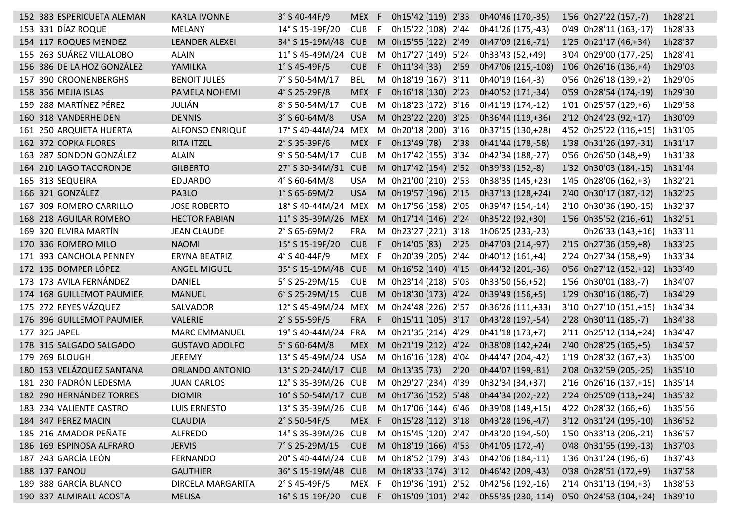| 152 383 ESPERICUETA ALEMAN | <b>KARLA IVONNE</b>    | $3°$ S 40-44F/9        | <b>MEX</b> | -F | 0h15'42 (119) 2'33   |      | 0h40'46 (170,-35)                                                          | 1'56 0h27'22 (157,-7)        | 1h28'21 |
|----------------------------|------------------------|------------------------|------------|----|----------------------|------|----------------------------------------------------------------------------|------------------------------|---------|
| 153 331 DÍAZ ROQUE         | MELANY                 | 14° S 15-19F/20        | <b>CUB</b> | F  | 0h15'22 (108) 2'44   |      | 0h41'26 (175,-43)                                                          | 0'49 0h28'11 (163,-17)       | 1h28'33 |
| 154 117 ROQUES MENDEZ      | <b>LEANDER ALEXEI</b>  | 34° S 15-19M/48 CUB    |            | M  | 0h15'55 (122) 2'49   |      | 0h47'09 (216,-71)                                                          | 1'25 0h21'17 (46,+34)        | 1h28'37 |
| 155 263 SUÁREZ VILLALOBO   | <b>ALAIN</b>           | 11° S 45-49M/24        | <b>CUB</b> | M  | 0h17'27 (149) 5'24   |      | 0h33'43 (52,+49)                                                           | 3'04 0h29'00 (177,-25)       | 1h28'41 |
| 156 386 DE LA HOZ GONZÁLEZ | YAMILKA                | $1°$ S 45-49F/5        | <b>CUB</b> | F. | 0h11'34 (33)         | 2'59 | 0h47'06 (215,-108)                                                         | 1'06 0h26'16 (136,+4)        | 1h29'03 |
| 157 390 CROONENBERGHS      | <b>BENOIT JULES</b>    | 7° S 50-54M/17         | BEL        | M  | 0h18'19 (167) 3'11   |      | 0h40'19 (164,-3)                                                           | 0'56 0h26'18 (139,+2)        | 1h29'05 |
| 158 356 MEJIA ISLAS        | PAMELA NOHEMI          | $4°$ S 25-29F/8        | <b>MEX</b> | F  | 0h16'18 (130) 2'23   |      | 0h40'52 (171,-34)                                                          | 0'59 0h28'54 (174,-19)       | 1h29'30 |
| 159 288 MARTÍNEZ PÉREZ     | JULIÁN                 | 8° S 50-54M/17         | <b>CUB</b> | M  | 0h18'23 (172) 3'16   |      | 0h41'19 (174,-12)                                                          | 1'01 0h25'57 (129,+6)        | 1h29'58 |
| 160 318 VANDERHEIDEN       | <b>DENNIS</b>          | $3°$ S 60-64M/8        | <b>USA</b> | M  | 0h23'22 (220) 3'25   |      | 0h36'44 (119,+36)                                                          | 2'12 0h24'23 (92,+17)        | 1h30'09 |
| 161 250 ARQUIETA HUERTA    | <b>ALFONSO ENRIQUE</b> | 17° S 40-44M/24        | <b>MEX</b> | M  | 0h20'18 (200) 3'16   |      | 0h37'15 (130,+28)                                                          | 4'52 0h25'22 (116,+15)       | 1h31'05 |
| 162 372 COPKA FLORES       | <b>RITA ITZEL</b>      | $2°$ S 35-39F/6        | <b>MEX</b> | -F | 0h13'49 (78)         | 2'38 | 0h41'44 (178,-58)                                                          | 1'38 0h31'26 (197,-31)       | 1h31'17 |
| 163 287 SONDON GONZÁLEZ    | <b>ALAIN</b>           | 9° S 50-54M/17         | <b>CUB</b> | M  | 0h17'42 (155)        | 3'34 | 0h42'34 (188,-27)                                                          | 0'56 0h26'50 (148,+9)        | 1h31'38 |
| 164 210 LAGO TACORONDE     | <b>GILBERTO</b>        | 27° S 30-34M/31        | <b>CUB</b> |    | M 0h17'42 (154)      | 2'52 | 0h39'33 (152,-8)                                                           | 1'32 0h30'03 (184,-15)       | 1h31'44 |
| 165 313 SEQUEIRA           | <b>EDUARDO</b>         | $4^{\circ}$ S 60-64M/8 | <b>USA</b> |    | M 0h21'00 (210) 2'53 |      | 0h38'35 (145,+23)                                                          | 1'45 0h28'06 (162,+3)        | 1h32'21 |
| 166 321 GONZÁLEZ           | <b>PABLO</b>           | $1°$ S 65-69M/2        | <b>USA</b> |    | M 0h19'57 (196) 2'15 |      | 0h37'13 (128,+24)                                                          | 2'40 0h30'17 (187,-12)       | 1h32'25 |
| 167 309 ROMERO CARRILLO    | <b>JOSE ROBERTO</b>    | 18° S 40-44M/24        | MEX        |    | M 0h17'56 (158) 2'05 |      | 0h39'47 (154,-14)                                                          | 2'10 0h30'36 (190,-15)       | 1h32'37 |
| 168 218 AGUILAR ROMERO     | <b>HECTOR FABIAN</b>   | 11° S 35-39M/26 MEX    |            | M  | 0h17'14 (146) 2'24   |      | 0h35'22 (92,+30)                                                           | 1'56 0h35'52 (216,-61)       | 1h32'51 |
| 169 320 ELVIRA MARTÍN      | <b>JEAN CLAUDE</b>     | $2°$ S 65-69M/2        | <b>FRA</b> | M  | 0h23'27 (221) 3'18   |      | 1h06'25 (233,-23)                                                          | 0h26'33 (143,+16)            | 1h33'11 |
| 170 336 ROMERO MILO        | <b>NAOMI</b>           | 15° S 15-19F/20        | <b>CUB</b> | F  | 0h14'05 (83)         | 2'25 | 0h47'03 (214,-97)                                                          | 2'15 0h27'36 (159,+8)        | 1h33'25 |
| 171 393 CANCHOLA PENNEY    | ERYNA BEATRIZ          | 4° S 40-44F/9          | MEX        | F  | 0h20'39 (205) 2'44   |      | 0h40'12 (161,+4)                                                           | 2'24 0h27'34 (158,+9)        | 1h33'34 |
| 172 135 DOMPER LÓPEZ       | ANGEL MIGUEL           | 35° S 15-19M/48 CUB    |            | M  | 0h16'52 (140) 4'15   |      | 0h44'32 (201,-36)                                                          | $0'56$ $0h27'12$ $(152,+12)$ | 1h33'49 |
| 173 173 AVILA FERNÁNDEZ    | <b>DANIEL</b>          | 5° S 25-29M/15         | <b>CUB</b> | M  | 0h23'14 (218) 5'03   |      | 0h33'50 (56,+52)                                                           | 1'56 0h30'01 (183,-7)        | 1h34'07 |
| 174 168 GUILLEMOT PAUMIER  | <b>MANUEL</b>          | 6° S 25-29M/15         | <b>CUB</b> | M  | 0h18'30 (173) 4'24   |      | 0h39'49 (156,+5)                                                           | 1'29 0h30'16 (186,-7)        | 1h34'29 |
| 175 272 REYES VÁZQUEZ      | SALVADOR               | 12° S 45-49M/24        | MEX        | M  | 0h24'48 (226) 2'57   |      | 0h36'26 (111,+33)                                                          | 3'10 0h27'10 (151,+15)       | 1h34'34 |
| 176 396 GUILLEMOT PAUMIER  | <b>VALERIE</b>         | $2°$ S 55-59F/5        | <b>FRA</b> | F  | 0h15'11 (105) 3'17   |      | 0h43'28 (197,-54)                                                          | 2'28 0h30'11 (185,-7)        | 1h34'38 |
| 177 325 JAPEL              | <b>MARC EMMANUEL</b>   | 19° S 40-44M/24        | FRA        | M  | 0h21'35 (214) 4'29   |      | 0h41'18 (173,+7)                                                           | 2'11 0h25'12 (114,+24)       | 1h34'47 |
| 178 315 SALGADO SALGADO    | <b>GUSTAVO ADOLFO</b>  | 5° S 60-64M/8          | <b>MEX</b> | M  | 0h21'19 (212) 4'24   |      | 0h38'08 (142, +24)                                                         | 2'40 0h28'25 (165,+5)        | 1h34'57 |
| 179 269 BLOUGH             | <b>JEREMY</b>          | 13° S 45-49M/24 USA    |            | M  | 0h16'16 (128)        | 4'04 | 0h44'47 (204,-42)                                                          | 1'19 0h28'32 (167,+3)        | 1h35'00 |
| 180 153 VELÁZQUEZ SANTANA  | ORLANDO ANTONIO        | 13° S 20-24M/17 CUB    |            |    | M 0h13'35 (73)       | 2'20 | 0h44'07 (199,-81)                                                          | 2'08 0h32'59 (205,-25)       | 1h35'10 |
| 181 230 PADRÓN LEDESMA     | <b>JUAN CARLOS</b>     | 12° S 35-39M/26 CUB    |            |    | M 0h29'27 (234)      | 4'39 | 0h32'34 (34,+37)                                                           | 2'16 0h26'16 (137,+15)       | 1h35'14 |
| 182 290 HERNÁNDEZ TORRES   | <b>DIOMIR</b>          | 10° S 50-54M/17 CUB    |            |    | M 0h17'36 (152) 5'48 |      | 0h44'34 (202,-22)                                                          | 2'24 0h25'09 (113,+24)       | 1h35'32 |
| 183 234 VALIENTE CASTRO    | <b>LUIS ERNESTO</b>    | 13° S 35-39M/26 CUB    |            |    |                      |      | M 0h17'06 (144) 6'46 0h39'08 (149,+15)                                     | 4'22 0h28'32 (166,+6)        | 1h35'56 |
| 184 347 PEREZ MACIN        | <b>CLAUDIA</b>         | $2°$ S 50-54F/5        | MEX F      |    | 0h15'28 (112) 3'18   |      | 0h43'28 (196,-47)                                                          | 3'12 0h31'24 (195,-10)       | 1h36'52 |
| 185 216 AMADOR PEÑATE      | <b>ALFREDO</b>         | 14° S 35-39M/26 CUB    |            |    | M 0h15'45 (120) 2'47 |      | 0h43'20 (194,-50)                                                          | 1'50 0h33'13 (206,-21)       | 1h36'57 |
| 186 169 ESPINOSA ALFRARO   | <b>JERVIS</b>          | 7° S 25-29M/15         | <b>CUB</b> |    | M 0h18'19 (166) 4'53 |      | 0h41'05 (172,-4)                                                           | 0'48 0h31'55 (199,-13)       | 1h37'03 |
| 187 243 GARCÍA LEÓN        | <b>FERNANDO</b>        | 20° S 40-44M/24 CUB    |            |    | M 0h18'52 (179) 3'43 |      | 0h42'06 (184,-11)                                                          | 1'36 0h31'24 (196,-6)        | 1h37'43 |
| 188 137 PANOU              | <b>GAUTHIER</b>        | 36° S 15-19M/48 CUB    |            |    | M 0h18'33 (174) 3'12 |      | 0h46'42 (209,-43)                                                          | 0'38 0h28'51 (172,+9)        | 1h37'58 |
| 189 388 GARCÍA BLANCO      | DIRCELA MARGARITA      | 2° S 45-49F/5          | MEX F      |    | 0h19'36 (191) 2'52   |      | 0h42'56 (192,-16)                                                          | 2'14 0h31'13 (194,+3)        | 1h38'53 |
| 190 337 ALMIRALL ACOSTA    | <b>MELISA</b>          | 16° S 15-19F/20        |            |    |                      |      | CUB F 0h15'09 (101) 2'42 0h55'35 (230,-114) 0'50 0h24'53 (104,+24) 1h39'10 |                              |         |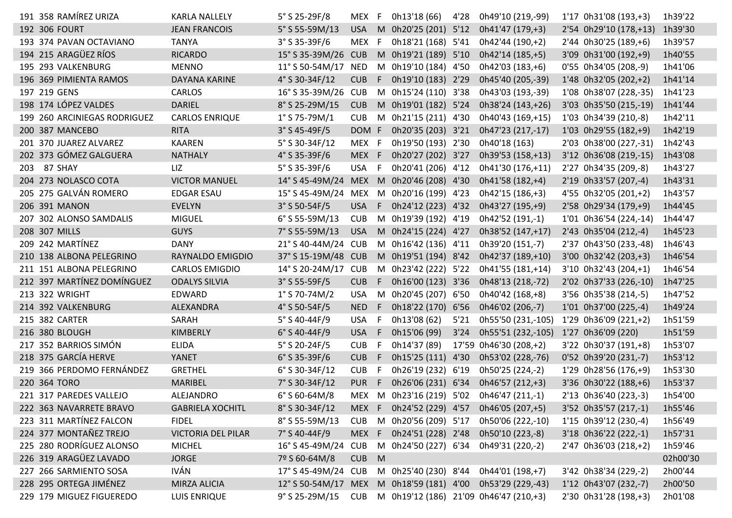|     | 191 358 RAMIREZ URIZA        | <b>KARLA NALLELY</b>      | 5° S 25-29F/8       | MEX F      |     | 0h13'18 (66)         | 4'28 | 0h49'10 (219,-99)                      | 1'17 0h31'08 (193,+3)  | 1h39'22  |
|-----|------------------------------|---------------------------|---------------------|------------|-----|----------------------|------|----------------------------------------|------------------------|----------|
|     | 192 306 FOURT                | <b>JEAN FRANCOIS</b>      | 5° S 55-59M/13      | <b>USA</b> |     | M 0h20'25 (201) 5'12 |      | 0h41'47 (179,+3)                       | 2'54 0h29'10 (178,+13) | 1h39'30  |
|     | 193 374 PAVAN OCTAVIANO      | <b>TANYA</b>              | $3°$ S 35-39F/6     | <b>MEX</b> | F   | 0h18'21 (168) 5'41   |      | 0h42'44 (190,+2)                       | 2'44 0h30'25 (189,+6)  | 1h39'57  |
|     | 194 215 ARAGÜEZ RÍOS         | <b>RICARDO</b>            | 15° S 35-39M/26 CUB |            |     | M 0h19'21 (189) 5'10 |      | 0h42'14 (185,+5)                       | 3'09 0h31'00 (192,+9)  | 1h40'55  |
|     | 195 293 VALKENBURG           | <b>MENNO</b>              | 11° S 50-54M/17     | <b>NED</b> |     | M 0h19'10 (184) 4'50 |      | 0h42'03 (183,+6)                       | 0'55 0h34'05 (208,-9)  | 1h41'06  |
|     | 196 369 PIMIENTA RAMOS       | DAYANA KARINE             | 4° S 30-34F/12      | <b>CUB</b> | F.  | 0h19'10 (183) 2'29   |      | 0h45'40 (205,-39)                      | 1'48 0h32'05 (202,+2)  | 1h41'14  |
|     | 197 219 GENS                 | CARLOS                    | 16° S 35-39M/26     | <b>CUB</b> |     | M 0h15'24 (110) 3'38 |      | 0h43'03 (193,-39)                      | 1'08 0h38'07 (228,-35) | 1h41'23  |
|     | 198 174 LÓPEZ VALDES         | DARIEL                    | 8° S 25-29M/15      | <b>CUB</b> |     | M 0h19'01 (182) 5'24 |      | 0h38'24 (143,+26)                      | 3'03 0h35'50 (215,-19) | 1h41'44  |
|     | 199 260 ARCINIEGAS RODRIGUEZ | <b>CARLOS ENRIQUE</b>     | $1°$ S 75-79M/1     | <b>CUB</b> | M   | 0h21'15 (211) 4'30   |      | 0h40'43 (169,+15)                      | 1'03 0h34'39 (210,-8)  | 1h42'11  |
|     | 200 387 MANCEBO              | <b>RITA</b>               | $3°$ S 45-49F/5     | DOM F      |     | 0h20'35 (203) 3'21   |      | 0h47'23 (217,-17)                      | 1'03 0h29'55 (182,+9)  | 1h42'19  |
|     | 201 370 JUAREZ ALVAREZ       | <b>KAAREN</b>             | 5° S 30-34F/12      | MEX F      |     | 0h19'50 (193) 2'30   |      | 0h40'18 (163)                          | 2'03 0h38'00 (227,-31) | 1h42'43  |
|     | 202 373 GÓMEZ GALGUERA       | <b>NATHALY</b>            | 4° S 35-39F/6       | MEX F      |     | 0h20'27 (202) 3'27   |      | 0h39'53 (158,+13)                      | 3'12 0h36'08 (219,-15) | 1h43'08  |
| 203 | 87 SHAY                      | LIZ                       | 5° S 35-39F/6       | USA        | -F  | 0h20'41 (206) 4'12   |      | 0h41'30 (176,+11)                      | 2'27 0h34'35 (209,-8)  | 1h43'27  |
|     | 204 273 NOLASCO COTA         | <b>VICTOR MANUEL</b>      | 14° S 45-49M/24 MEX |            |     | M 0h20'46 (208) 4'30 |      | 0h41'58 (182,+4)                       | 2'19 0h33'57 (207,-4)  | 1h43'31  |
|     | 205 275 GALVÁN ROMERO        | <b>EDGAR ESAU</b>         | 15° S 45-49M/24 MEX |            |     | M 0h20'16 (199) 4'23 |      | 0h42'15 (186,+3)                       | 4'55 0h32'05 (201,+2)  | 1h43'57  |
|     | 206 391 MANON                | <b>EVELYN</b>             | $3°$ S 50-54F/5     | <b>USA</b> | F.  | 0h24'12 (223) 4'32   |      | 0h43'27 (195,+9)                       | 2'58 0h29'34 (179,+9)  | 1h44'45  |
|     | 207 302 ALONSO SAMDALIS      | <b>MIGUEL</b>             | $6°$ S 55-59M/13    | <b>CUB</b> |     | M 0h19'39 (192) 4'19 |      | 0h42'52 (191,-1)                       | 1'01 0h36'54 (224,-14) | 1h44'47  |
|     | 208 307 MILLS                | <b>GUYS</b>               | 7° S 55-59M/13      | <b>USA</b> |     | M 0h24'15 (224) 4'27 |      | 0h38'52 (147,+17)                      | 2'43 0h35'04 (212,-4)  | 1h45'23  |
|     | 209 242 MARTÍNEZ             | <b>DANY</b>               | 21° S 40-44M/24 CUB |            |     | M 0h16'42 (136) 4'11 |      | 0h39'20 (151,-7)                       | 2'37 0h43'50 (233,-48) | 1h46'43  |
|     | 210 138 ALBONA PELEGRINO     | RAYNALDO EMIGDIO          | 37° S 15-19M/48 CUB |            |     | M 0h19'51 (194) 8'42 |      | 0h42'37 (189,+10)                      | 3'00 0h32'42 (203,+3)  | 1h46'54  |
|     | 211 151 ALBONA PELEGRINO     | <b>CARLOS EMIGDIO</b>     | 14° S 20-24M/17     | <b>CUB</b> |     | M 0h23'42 (222) 5'22 |      | 0h41'55 (181,+14)                      | 3'10 0h32'43 (204,+1)  | 1h46'54  |
|     | 212 397 MARTÍNEZ DOMÍNGUEZ   | <b>ODALYS SILVIA</b>      | $3°$ S 55-59F/5     | <b>CUB</b> | F.  | 0h16'00 (123) 3'36   |      | 0h48'13 (218,-72)                      | 2'02 0h37'33 (226,-10) | 1h47'25  |
|     | 213 322 WRIGHT               | EDWARD                    | $1°$ S 70-74M/2     | <b>USA</b> | M   | 0h20'45 (207) 6'50   |      | 0h40'42 (168,+8)                       | 3'56 0h35'38 (214,-5)  | 1h47'52  |
|     | 214 392 VALKENBURG           | ALEXANDRA                 | 4° S 50-54F/5       | <b>NED</b> | F.  | 0h18'22 (170) 6'56   |      | 0h46'02 (206,-7)                       | 1'01 0h37'00 (225,-4)  | 1h49'24  |
|     | 215 382 CARTER               | SARAH                     | 5° S 40-44F/9       | USA        | - F | 0h13'08 (62)         | 5'21 | 0h55'50 (231,-105)                     | 1'29 0h36'09 (221,+2)  | 1h51'59  |
|     | 216 380 BLOUGH               | KIMBERLY                  | 6° S 40-44F/9       | <b>USA</b> | F   | 0h15'06 (99)         | 3'24 | 0h55'51 (232,-105)                     | 1'27 0h36'09 (220)     | 1h51'59  |
|     | 217 352 BARRIOS SIMÓN        | <b>ELIDA</b>              | 5° S 20-24F/5       | <b>CUB</b> | F   | 0h14'37 (89)         |      | 17'59 0h46'30 (208,+2)                 | 3'22 0h30'37 (191,+8)  | 1h53'07  |
|     | 218 375 GARCÍA HERVE         | YANET                     | $6°$ S 35-39F/6     | <b>CUB</b> | F   | 0h15'25 (111) 4'30   |      | 0h53'02 (228,-76)                      | 0'52 0h39'20 (231,-7)  | 1h53'12  |
|     | 219 366 PERDOMO FERNÁNDEZ    | <b>GRETHEL</b>            | 6° S 30-34F/12      | <b>CUB</b> | F   | 0h26'19 (232) 6'19   |      | 0h50'25 (224,-2)                       | 1'29 0h28'56 (176,+9)  | 1h53'30  |
|     | 220 364 TORO                 | <b>MARIBEL</b>            | 7° S 30-34F/12      | <b>PUR</b> | F.  | 0h26'06 (231) 6'34   |      | 0h46'57 (212,+3)                       | 3'36 0h30'22 (188,+6)  | 1h53'37  |
|     | 221 317 PAREDES VALLEJO      | ALEJANDRO                 | $6°$ S 60-64M/8     | MEX        |     | M 0h23'16 (219) 5'02 |      | 0h46'47 (211,-1)                       | 2'13 0h36'40 (223,-3)  | 1h54'00  |
|     | 222 363 NAVARRETE BRAVO      | <b>GABRIELA XOCHITL</b>   | 8° S 30-34F/12      | MEX F      |     |                      |      | 0h24'52 (229) 4'57 0h46'05 (207,+5)    | 3'52 0h35'57 (217,-1)  | 1h55'46  |
|     | 223 311 MARTÍNEZ FALCON      | <b>FIDEL</b>              | 8° S 55-59M/13      | <b>CUB</b> |     | M 0h20'56 (209) 5'17 |      | 0h50'06 (222,-10)                      | 1'15 0h39'12 (230,-4)  | 1h56'49  |
|     | 224 377 MONTAÑEZ TREJO       | <b>VICTORIA DEL PILAR</b> | 7° S 40-44F/9       | MEX F      |     | 0h24'51 (228) 2'48   |      | 0h50'10 (223,-8)                       | 3'18 0h36'22 (222,-1)  | 1h57'31  |
|     | 225 280 RODRÍGUEZ ALONSO     | <b>MICHEL</b>             | 16° S 45-49M/24     | <b>CUB</b> |     | M 0h24'50 (227) 6'34 |      | 0h49'31 (220,-2)                       | 2'47 0h36'03 (218,+2)  | 1h59'46  |
|     | 226 319 ARAGÜEZ LAVADO       | <b>JORGE</b>              | 7º S 60-64M/8       | CUB M      |     |                      |      |                                        |                        | 02h00'30 |
|     | 227 266 SARMIENTO SOSA       | <b>IVÁN</b>               | 17° S 45-49M/24 CUB |            |     |                      |      | M 0h25'40 (230) 8'44 0h44'01 (198,+7)  | 3'42 0h38'34 (229,-2)  | 2h00'44  |
|     | 228 295 ORTEGA JIMÉNEZ       | <b>MIRZA ALICIA</b>       | 12° S 50-54M/17 MEX |            |     |                      |      | M 0h18'59 (181) 4'00 0h53'29 (229,-43) | 1'12 0h43'07 (232,-7)  | 2h00'50  |
|     | 229 179 MIGUEZ FIGUEREDO     | LUIS ENRIQUE              | 9° S 25-29M/15 CUB  |            |     |                      |      | M 0h19'12 (186) 21'09 0h46'47 (210,+3) | 2'30 0h31'28 (198,+3)  | 2h01'08  |